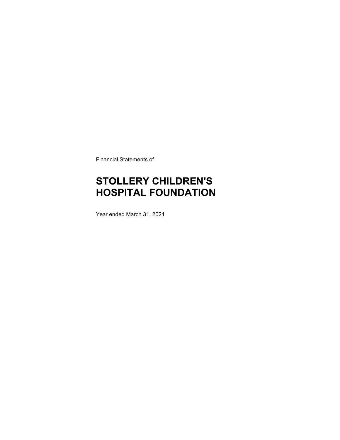Financial Statements of

## **STOLLERY CHILDREN'S HOSPITAL FOUNDATION**

Year ended March 31, 2021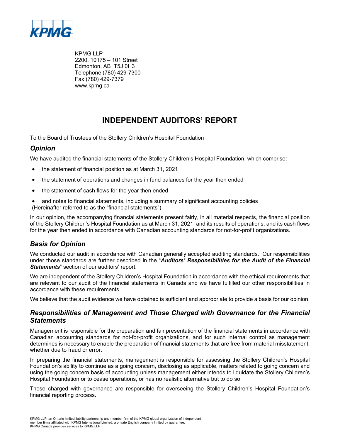

KPMG LLP 2200, 10175 – 101 Street Edmonton, AB T5J 0H3 Telephone (780) 429-7300 Fax (780) 429-7379 www.kpmg.ca

### **INDEPENDENT AUDITORS' REPORT**

To the Board of Trustees of the Stollery Children's Hospital Foundation

### *Opinion*

We have audited the financial statements of the Stollery Children's Hospital Foundation, which comprise:

- the statement of financial position as at March 31, 2021
- the statement of operations and changes in fund balances for the year then ended
- the statement of cash flows for the year then ended
- and notes to financial statements, including a summary of significant accounting policies (Hereinafter referred to as the "financial statements").

In our opinion, the accompanying financial statements present fairly, in all material respects, the financial position of the Stollery Children's Hospital Foundation as at March 31, 2021, and its results of operations, and its cash flows for the year then ended in accordance with Canadian accounting standards for not-for-profit organizations.

### *Basis for Opinion*

We conducted our audit in accordance with Canadian generally accepted auditing standards. Our responsibilities under those standards are further described in the "*Auditors' Responsibilities for the Audit of the Financial Statements*" section of our auditors' report.

We are independent of the Stollery Children's Hospital Foundation in accordance with the ethical requirements that are relevant to our audit of the financial statements in Canada and we have fulfilled our other responsibilities in accordance with these requirements.

We believe that the audit evidence we have obtained is sufficient and appropriate to provide a basis for our opinion.

### *Responsibilities of Management and Those Charged with Governance for the Financial Statements*

Management is responsible for the preparation and fair presentation of the financial statements in accordance with Canadian accounting standards for not-for-profit organizations, and for such internal control as management determines is necessary to enable the preparation of financial statements that are free from material misstatement, whether due to fraud or error.

In preparing the financial statements, management is responsible for assessing the Stollery Children's Hospital Foundation's ability to continue as a going concern, disclosing as applicable, matters related to going concern and using the going concern basis of accounting unless management either intends to liquidate the Stollery Children's Hospital Foundation or to cease operations, or has no realistic alternative but to do so

Those charged with governance are responsible for overseeing the Stollery Children's Hospital Foundation's financial reporting process.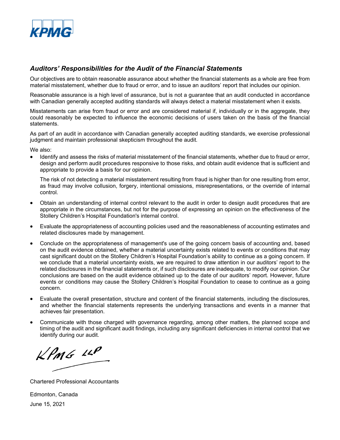

### *Auditors' Responsibilities for the Audit of the Financial Statements*

Our objectives are to obtain reasonable assurance about whether the financial statements as a whole are free from material misstatement, whether due to fraud or error, and to issue an auditors' report that includes our opinion.

Reasonable assurance is a high level of assurance, but is not a guarantee that an audit conducted in accordance with Canadian generally accepted auditing standards will always detect a material misstatement when it exists.

Misstatements can arise from fraud or error and are considered material if, individually or in the aggregate, they could reasonably be expected to influence the economic decisions of users taken on the basis of the financial statements.

As part of an audit in accordance with Canadian generally accepted auditing standards, we exercise professional judgment and maintain professional skepticism throughout the audit.

We also:

 Identify and assess the risks of material misstatement of the financial statements, whether due to fraud or error, design and perform audit procedures responsive to those risks, and obtain audit evidence that is sufficient and appropriate to provide a basis for our opinion.

The risk of not detecting a material misstatement resulting from fraud is higher than for one resulting from error, as fraud may involve collusion, forgery, intentional omissions, misrepresentations, or the override of internal control.

- Obtain an understanding of internal control relevant to the audit in order to design audit procedures that are appropriate in the circumstances, but not for the purpose of expressing an opinion on the effectiveness of the Stollery Children's Hospital Foundation's internal control.
- Evaluate the appropriateness of accounting policies used and the reasonableness of accounting estimates and related disclosures made by management.
- Conclude on the appropriateness of management's use of the going concern basis of accounting and, based on the audit evidence obtained, whether a material uncertainty exists related to events or conditions that may cast significant doubt on the Stollery Children's Hospital Foundation's ability to continue as a going concern. If we conclude that a material uncertainty exists, we are required to draw attention in our auditors' report to the related disclosures in the financial statements or, if such disclosures are inadequate, to modify our opinion. Our conclusions are based on the audit evidence obtained up to the date of our auditors' report. However, future events or conditions may cause the Stollery Children's Hospital Foundation to cease to continue as a going concern.
- Evaluate the overall presentation, structure and content of the financial statements, including the disclosures, and whether the financial statements represents the underlying transactions and events in a manner that achieves fair presentation.
- Communicate with those charged with governance regarding, among other matters, the planned scope and timing of the audit and significant audit findings, including any significant deficiencies in internal control that we identify during our audit.

 $kPMS$   $\mu P$ 

Chartered Professional Accountants Edmonton, Canada June 15, 2021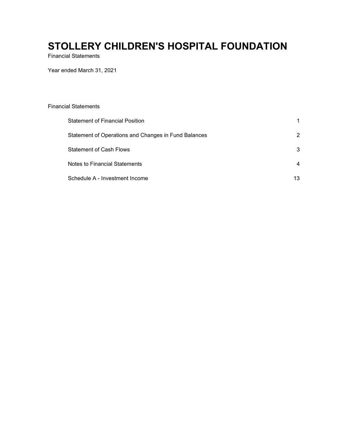Financial Statements

Year ended March 31, 2021

| <b>Financial Statements</b>                          |                |
|------------------------------------------------------|----------------|
| <b>Statement of Financial Position</b>               |                |
| Statement of Operations and Changes in Fund Balances | 2              |
| <b>Statement of Cash Flows</b>                       | 3              |
| Notes to Financial Statements                        | $\overline{4}$ |
| Schedule A - Investment Income                       | 13             |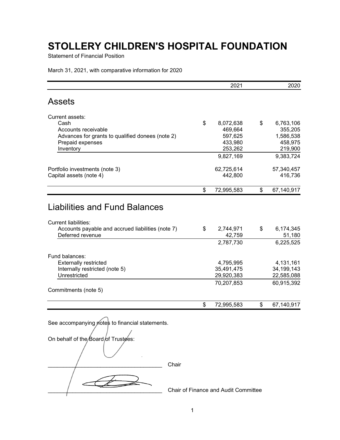Statement of Financial Position

March 31, 2021, with comparative information for 2020

|                                                                                                                   | 2021                | 2020                          |
|-------------------------------------------------------------------------------------------------------------------|---------------------|-------------------------------|
| <b>Assets</b>                                                                                                     |                     |                               |
| Current assets:                                                                                                   |                     |                               |
| Cash                                                                                                              | \$<br>8,072,638     | \$<br>6,763,106               |
| Accounts receivable                                                                                               | 469,664             | 355,205                       |
| Advances for grants to qualified donees (note 2)                                                                  | 597,625             | 1,586,538                     |
| Prepaid expenses                                                                                                  | 433,980             | 458,975                       |
| Inventory                                                                                                         | 253,262             | 219,900                       |
|                                                                                                                   | 9,827,169           | 9,383,724                     |
| Portfolio investments (note 3)                                                                                    | 62,725,614          | 57,340,457                    |
| Capital assets (note 4)                                                                                           | 442,800             | 416,736                       |
|                                                                                                                   |                     |                               |
|                                                                                                                   | \$<br>72,995,583    | \$                            |
| <b>Liabilities and Fund Balances</b><br>Current liabilities:<br>Accounts payable and accrued liabilities (note 7) | \$<br>2,744,971     | \$<br>67,140,917<br>6,174,345 |
| Deferred revenue                                                                                                  | 42,759<br>2,787,730 | 51,180<br>6,225,525           |
|                                                                                                                   |                     |                               |
| Fund balances:                                                                                                    |                     |                               |
| <b>Externally restricted</b>                                                                                      | 4,795,995           | 4,131,161                     |
| Internally restricted (note 5)                                                                                    | 35,491,475          | 34,199,143                    |
| Unrestricted                                                                                                      | 29,920,383          | 22,585,088                    |
| Commitments (note 5)                                                                                              | 70,207,853          | 60,915,392                    |

See accompanying notes to financial statements.

On behalf of the Board of Trustees: \_\_\_\_\_\_\_\_\_\_\_\_\_\_\_\_\_\_\_\_\_\_\_\_\_\_\_\_\_\_\_\_\_\_\_\_\_ Chair

\_\_\_\_\_\_\_\_\_\_\_\_\_\_\_\_\_\_\_\_\_\_\_\_\_\_\_\_\_\_\_\_\_\_\_\_\_ Chair of Finance and Audit Committee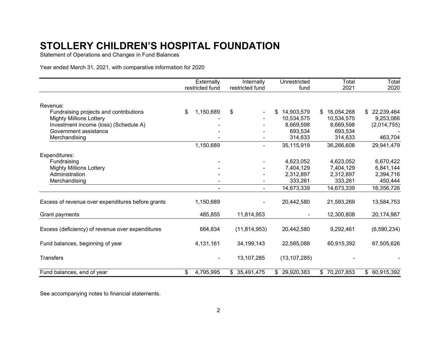Statement of Operations and Changes in Fund Balances

Year ended March 31, 2021, with comparative information for 2020

|                                                   | Externally      | Internally       | Unrestricted   | Total            | Total         |
|---------------------------------------------------|-----------------|------------------|----------------|------------------|---------------|
|                                                   | restricted fund | restricted fund  | fund           | 2021             | 2020          |
| Revenue:                                          |                 |                  |                |                  |               |
| Fundraising projects and contributions            | \$<br>1,150,689 | \$               | 14,903,579     | 16,054,268<br>\$ | \$22,239,464  |
| <b>Mighty Millions Lottery</b>                    |                 |                  | 10,534,575     | 10,534,575       | 9,253,066     |
| Investment income (loss) (Schedule A)             |                 |                  | 8,669,598      | 8,669,598        | (2,014,755)   |
| Government assistance                             |                 |                  | 693,534        | 693,534          |               |
| Merchandising                                     |                 |                  | 314,633        | 314,633          | 463,704       |
|                                                   | 1,150,689       | $\blacksquare$   | 35,115,919     | 36,266,608       | 29,941,479    |
| Expenditures:                                     |                 |                  |                |                  |               |
| Fundraising                                       |                 |                  | 4,623,052      | 4,623,052        | 6,670,422     |
| <b>Mighty Millions Lottery</b>                    |                 |                  | 7,404,129      | 7,404,129        | 6,841,144     |
| Administration                                    |                 |                  | 2,312,897      | 2,312,897        | 2,394,716     |
| Merchandising                                     |                 |                  | 333,261        | 333,261          | 450,444       |
|                                                   |                 | $\blacksquare$   | 14,673,339     | 14,673,339       | 16,356,726    |
| Excess of revenue over expenditures before grants | 1,150,689       |                  | 20,442,580     | 21,593,269       | 13,584,753    |
| Grant payments                                    | 485,855         | 11,814,953       |                | 12,300,808       | 20,174,987    |
| Excess (deficiency) of revenue over expenditures  | 664,834         | (11, 814, 953)   | 20,442,580     | 9,292,461        | (6,590,234)   |
| Fund balances, beginning of year                  | 4,131,161       | 34, 199, 143     | 22,585,088     | 60,915,392       | 67,505,626    |
| <b>Transfers</b>                                  |                 | 13,107,285       | (13, 107, 285) |                  |               |
| Fund balances, end of year                        | \$<br>4,795,995 | 35,491,475<br>\$ | \$29,920,383   | \$70,207,853     | \$ 60,915,392 |

See accompanying notes to financial statements.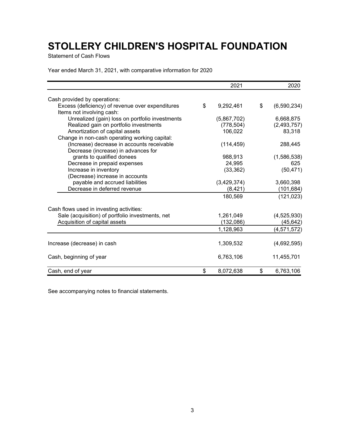Statement of Cash Flows

Year ended March 31, 2021, with comparative information for 2020

|                                                                                   | 2021            | 2020              |
|-----------------------------------------------------------------------------------|-----------------|-------------------|
| Cash provided by operations:                                                      |                 |                   |
| Excess (deficiency) of revenue over expenditures<br>Items not involving cash:     | \$<br>9,292,461 | \$<br>(6,590,234) |
| Unrealized (gain) loss on portfolio investments                                   | (5,867,702)     | 6,668,875         |
| Realized gain on portfolio investments                                            | (778, 504)      | (2, 493, 757)     |
| Amortization of capital assets                                                    | 106,022         | 83,318            |
| Change in non-cash operating working capital:                                     |                 |                   |
| (Increase) decrease in accounts receivable<br>Decrease (increase) in advances for | (114, 459)      | 288,445           |
| grants to qualified donees                                                        | 988,913         | (1,586,538)       |
| Decrease in prepaid expenses                                                      | 24,995          | 625               |
| Increase in inventory                                                             | (33, 362)       | (50, 471)         |
| (Decrease) increase in accounts                                                   |                 |                   |
| payable and accrued liabilities                                                   | (3,429,374)     | 3,660,398         |
| Decrease in deferred revenue                                                      | (8,421)         | (101, 684)        |
|                                                                                   | 180,569         | (121, 023)        |
| Cash flows used in investing activities:                                          |                 |                   |
| Sale (acquisition) of portfolio investments, net                                  | 1,261,049       | (4,525,930)       |
| Acquisition of capital assets                                                     | (132,086)       | (45, 642)         |
|                                                                                   | 1,128,963       | (4,571,572)       |
| Increase (decrease) in cash                                                       | 1,309,532       | (4,692,595)       |
| Cash, beginning of year                                                           | 6,763,106       | 11,455,701        |
| Cash, end of year                                                                 | \$<br>8,072,638 | \$<br>6,763,106   |

See accompanying notes to financial statements.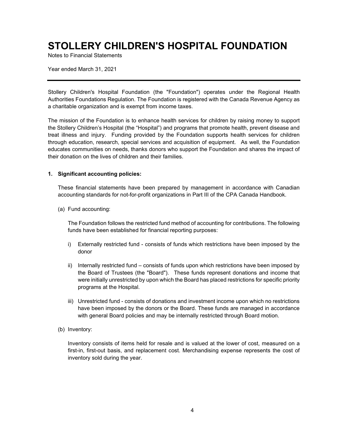Notes to Financial Statements

Year ended March 31, 2021

Stollery Children's Hospital Foundation (the "Foundation") operates under the Regional Health Authorities Foundations Regulation. The Foundation is registered with the Canada Revenue Agency as a charitable organization and is exempt from income taxes.

The mission of the Foundation is to enhance health services for children by raising money to support the Stollery Children's Hospital (the "Hospital") and programs that promote health, prevent disease and treat illness and injury. Funding provided by the Foundation supports health services for children through education, research, special services and acquisition of equipment. As well, the Foundation educates communities on needs, thanks donors who support the Foundation and shares the impact of their donation on the lives of children and their families.

#### **1. Significant accounting policies:**

These financial statements have been prepared by management in accordance with Canadian accounting standards for not-for-profit organizations in Part III of the CPA Canada Handbook.

(a) Fund accounting:

The Foundation follows the restricted fund method of accounting for contributions. The following funds have been established for financial reporting purposes:

- i) Externally restricted fund consists of funds which restrictions have been imposed by the donor
- ii) Internally restricted fund consists of funds upon which restrictions have been imposed by the Board of Trustees (the "Board"). These funds represent donations and income that were initially unrestricted by upon which the Board has placed restrictions for specific priority programs at the Hospital.
- iii) Unrestricted fund consists of donations and investment income upon which no restrictions have been imposed by the donors or the Board. These funds are managed in accordance with general Board policies and may be internally restricted through Board motion.
- (b) Inventory:

Inventory consists of items held for resale and is valued at the lower of cost, measured on a first-in, first-out basis, and replacement cost. Merchandising expense represents the cost of inventory sold during the year.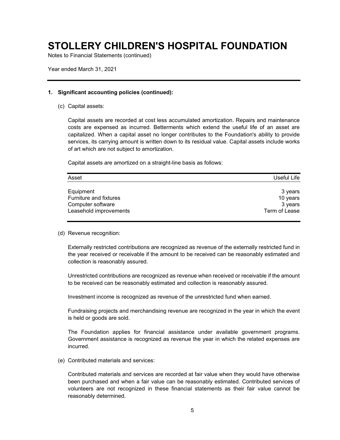Notes to Financial Statements (continued)

Year ended March 31, 2021

#### **1. Significant accounting policies (continued):**

(c) Capital assets:

Capital assets are recorded at cost less accumulated amortization. Repairs and maintenance costs are expensed as incurred. Betterments which extend the useful life of an asset are capitalized. When a capital asset no longer contributes to the Foundation's ability to provide services, its carrying amount is written down to its residual value. Capital assets include works of art which are not subject to amortization.

Capital assets are amortized on a straight-line basis as follows:

| Asset                  | Useful Life   |
|------------------------|---------------|
| Equipment              | 3 years       |
| Furniture and fixtures | 10 years      |
| Computer software      | 3 years       |
| Leasehold improvements | Term of Lease |

#### (d) Revenue recognition:

Externally restricted contributions are recognized as revenue of the externally restricted fund in the year received or receivable if the amount to be received can be reasonably estimated and collection is reasonably assured.

Unrestricted contributions are recognized as revenue when received or receivable if the amount to be received can be reasonably estimated and collection is reasonably assured.

Investment income is recognized as revenue of the unrestricted fund when earned.

Fundraising projects and merchandising revenue are recognized in the year in which the event is held or goods are sold.

The Foundation applies for financial assistance under available government programs. Government assistance is recognized as revenue the year in which the related expenses are incurred.

(e) Contributed materials and services:

Contributed materials and services are recorded at fair value when they would have otherwise been purchased and when a fair value can be reasonably estimated. Contributed services of volunteers are not recognized in these financial statements as their fair value cannot be reasonably determined.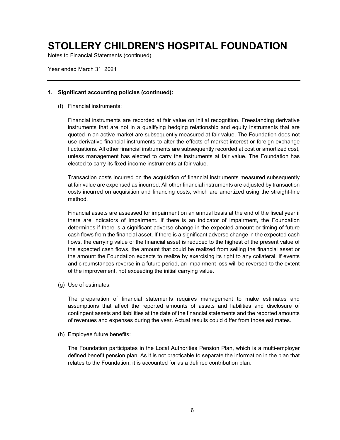Notes to Financial Statements (continued)

Year ended March 31, 2021

#### **1. Significant accounting policies (continued):**

(f) Financial instruments:

Financial instruments are recorded at fair value on initial recognition. Freestanding derivative instruments that are not in a qualifying hedging relationship and equity instruments that are quoted in an active market are subsequently measured at fair value. The Foundation does not use derivative financial instruments to alter the effects of market interest or foreign exchange fluctuations. All other financial instruments are subsequently recorded at cost or amortized cost, unless management has elected to carry the instruments at fair value. The Foundation has elected to carry its fixed-income instruments at fair value.

Transaction costs incurred on the acquisition of financial instruments measured subsequently at fair value are expensed as incurred. All other financial instruments are adjusted by transaction costs incurred on acquisition and financing costs, which are amortized using the straight-line method.

Financial assets are assessed for impairment on an annual basis at the end of the fiscal year if there are indicators of impairment. If there is an indicator of impairment, the Foundation determines if there is a significant adverse change in the expected amount or timing of future cash flows from the financial asset. If there is a significant adverse change in the expected cash flows, the carrying value of the financial asset is reduced to the highest of the present value of the expected cash flows, the amount that could be realized from selling the financial asset or the amount the Foundation expects to realize by exercising its right to any collateral. If events and circumstances reverse in a future period, an impairment loss will be reversed to the extent of the improvement, not exceeding the initial carrying value.

(g) Use of estimates:

The preparation of financial statements requires management to make estimates and assumptions that affect the reported amounts of assets and liabilities and disclosure of contingent assets and liabilities at the date of the financial statements and the reported amounts of revenues and expenses during the year. Actual results could differ from those estimates.

(h) Employee future benefits:

The Foundation participates in the Local Authorities Pension Plan, which is a multi-employer defined benefit pension plan. As it is not practicable to separate the information in the plan that relates to the Foundation, it is accounted for as a defined contribution plan.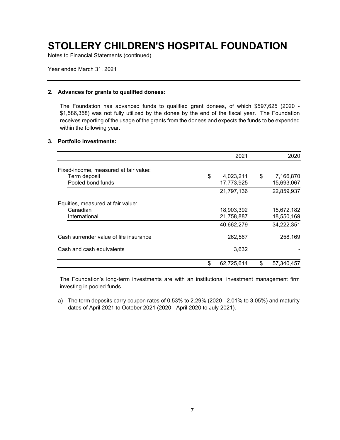Notes to Financial Statements (continued)

Year ended March 31, 2021

#### **2. Advances for grants to qualified donees:**

The Foundation has advanced funds to qualified grant donees, of which \$597,625 (2020 - \$1,586,358) was not fully utilized by the donee by the end of the fiscal year. The Foundation receives reporting of the usage of the grants from the donees and expects the funds to be expended within the following year.

#### **3. Portfolio investments:**

|                                        | 2021             | 2020             |
|----------------------------------------|------------------|------------------|
| Fixed-income, measured at fair value:  |                  |                  |
| Term deposit                           | \$<br>4,023,211  | \$<br>7,166,870  |
| Pooled bond funds                      | 17,773,925       | 15,693,067       |
|                                        | 21,797,136       | 22,859,937       |
| Equities, measured at fair value:      |                  |                  |
| Canadian                               | 18,903,392       | 15,672,182       |
| International                          | 21,758,887       | 18,550,169       |
|                                        | 40,662,279       | 34,222,351       |
| Cash surrender value of life insurance | 262,567          | 258,169          |
| Cash and cash equivalents              | 3,632            |                  |
|                                        | \$<br>62,725,614 | \$<br>57,340,457 |

The Foundation's long-term investments are with an institutional investment management firm investing in pooled funds.

a) The term deposits carry coupon rates of 0.53% to 2.29% (2020 - 2.01% to 3.05%) and maturity dates of April 2021 to October 2021 (2020 - April 2020 to July 2021).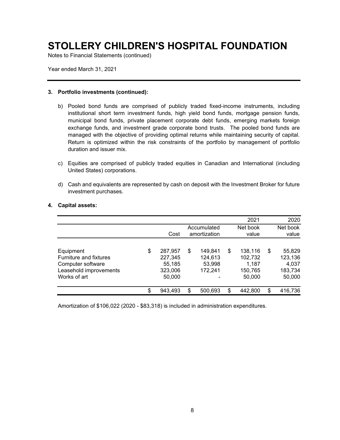Notes to Financial Statements (continued)

Year ended March 31, 2021

#### **3. Portfolio investments (continued):**

- b) Pooled bond funds are comprised of publicly traded fixed-income instruments, including institutional short term investment funds, high yield bond funds, mortgage pension funds, municipal bond funds, private placement corporate debt funds, emerging markets foreign exchange funds, and investment grade corporate bond trusts. The pooled bond funds are managed with the objective of providing optimal returns while maintaining security of capital. Return is optimized within the risk constraints of the portfolio by management of portfolio duration and issuer mix.
- c) Equities are comprised of publicly traded equities in Canadian and International (including United States) corporations.
- d) Cash and equivalents are represented by cash on deposit with the Investment Broker for future investment purchases.

|                                                                                                    |                                                         |    |                                         |    | 2021                                             |     | 2020                                            |
|----------------------------------------------------------------------------------------------------|---------------------------------------------------------|----|-----------------------------------------|----|--------------------------------------------------|-----|-------------------------------------------------|
|                                                                                                    |                                                         |    | Accumulated                             |    | Net book                                         |     | Net book                                        |
|                                                                                                    | Cost                                                    |    | amortization                            |    | value                                            |     | value                                           |
| Equipment<br>Furniture and fixtures<br>Computer software<br>Leasehold improvements<br>Works of art | \$<br>287,957<br>227,345<br>55,185<br>323,006<br>50,000 | S  | 149.841<br>124,613<br>53,998<br>172.241 | S  | 138,116<br>102,732<br>1.187<br>150,765<br>50,000 | S   | 55,829<br>123,136<br>4,037<br>183,734<br>50,000 |
|                                                                                                    | \$<br>943,493                                           | \$ | 500,693                                 | \$ | 442,800                                          | \$. | 416,736                                         |

#### **4. Capital assets:**

Amortization of \$106,022 (2020 - \$83,318) is included in administration expenditures.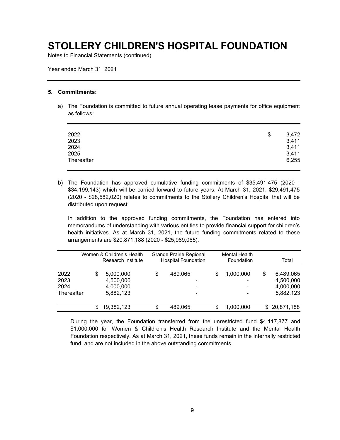Notes to Financial Statements (continued)

Year ended March 31, 2021

#### **5. Commitments:**

a) The Foundation is committed to future annual operating lease payments for office equipment as follows:

| 2022       | \$<br>3,472 |
|------------|-------------|
| 2023       | 3,411       |
| 2024       | 3,411       |
| 2025       | 3,411       |
| Thereafter | 6,255       |
|            |             |

b) The Foundation has approved cumulative funding commitments of \$35,491,475 (2020 - \$34,199,143) which will be carried forward to future years. At March 31, 2021, \$29,491,475 (2020 - \$28,582,020) relates to commitments to the Stollery Children's Hospital that will be distributed upon request.

In addition to the approved funding commitments, the Foundation has entered into memorandums of understanding with various entities to provide financial support for children's health initiatives. As at March 31, 2021, the future funding commitments related to these arrangements are \$20,871,188 (2020 - \$25,989,065).

|                                    | Women & Children's Health<br><b>Research Institute</b> | <b>Grande Prairie Regional</b><br><b>Hospital Foundation</b> |    | <b>Mental Health</b><br>Foundation | Total                                                  |
|------------------------------------|--------------------------------------------------------|--------------------------------------------------------------|----|------------------------------------|--------------------------------------------------------|
| 2022<br>2023<br>2024<br>Thereafter | \$<br>5,000,000<br>4,500,000<br>4,000,000<br>5,882,123 | \$<br>489.065<br>-<br>-                                      |    | 1,000,000<br>۰<br>۰<br>۰           | \$<br>6,489,065<br>4,500,000<br>4,000,000<br>5,882,123 |
|                                    | 19,382,123                                             | \$<br>489.065                                                | S. | 1.000.000                          | \$20,871,188                                           |

During the year, the Foundation transferred from the unrestricted fund \$4,117,877 and \$1,000,000 for Women & Children's Health Research Institute and the Mental Health Foundation respectively. As at March 31, 2021, these funds remain in the internally restricted fund, and are not included in the above outstanding commitments.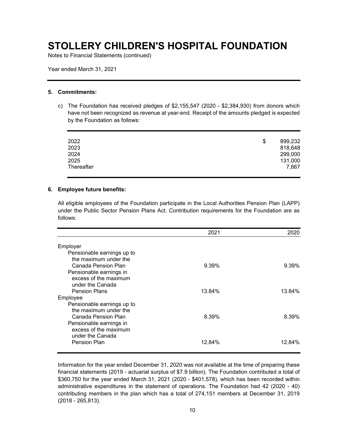Notes to Financial Statements (continued)

Year ended March 31, 2021

#### **5. Commitments:**

c) The Foundation has received pledges of \$2,155,547 (2020 - \$2,384,930) from donors which have not been recognized as revenue at year-end. Receipt of the amounts pledged is expected by the Foundation as follows:

| \$<br>899,232 |
|---------------|
| 818,648       |
| 299,000       |
| 131,000       |
| 7,667         |
|               |

#### **6. Employee future benefits:**

All eligible employees of the Foundation participate in the Local Authorities Pension Plan (LAPP) under the Public Sector Pension Plans Act. Contribution requirements for the Foundation are as follows:

|                            | 2021   | 2020   |
|----------------------------|--------|--------|
| Employer                   |        |        |
| Pensionable earnings up to |        |        |
| the maximum under the      |        |        |
| Canada Pension Plan        | 9.39%  | 9.39%  |
| Pensionable earnings in    |        |        |
| excess of the maximum      |        |        |
| under the Canada           |        |        |
| <b>Pension Plans</b>       | 13.84% | 13.84% |
| Employee                   |        |        |
| Pensionable earnings up to |        |        |
| the maximum under the      |        |        |
| Canada Pension Plan        | 8.39%  | 8.39%  |
| Pensionable earnings in    |        |        |
| excess of the maximum      |        |        |
| under the Canada           |        |        |
| Pension Plan               | 12.84% | 12.84% |
|                            |        |        |

Information for the year ended December 31, 2020 was not available at the time of preparing these financial statements (2019 - actuarial surplus of \$7.9 billion). The Foundation contributed a total of \$360,750 for the year ended March 31, 2021 (2020 - \$401,578), which has been recorded within administrative expenditures in the statement of operations. The Foundation had 42 (2020 - 40) contributing members in the plan which has a total of 274,151 members at December 31, 2019 (2018 - 265,813).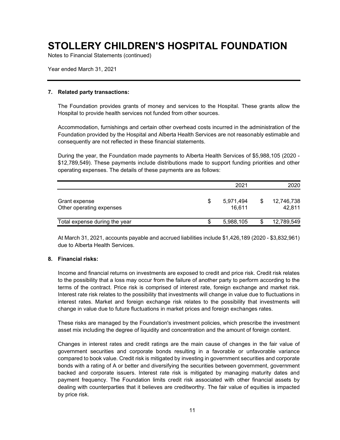Notes to Financial Statements (continued)

Year ended March 31, 2021

#### **7. Related party transactions:**

The Foundation provides grants of money and services to the Hospital. These grants allow the Hospital to provide health services not funded from other sources.

Accommodation, furnishings and certain other overhead costs incurred in the administration of the Foundation provided by the Hospital and Alberta Health Services are not reasonably estimable and consequently are not reflected in these financial statements.

During the year, the Foundation made payments to Alberta Health Services of \$5,988,105 (2020 - \$12,789,549). These payments include distributions made to support funding priorities and other operating expenses. The details of these payments are as follows:

|                                           |   | 2021                |   | 2020                 |
|-------------------------------------------|---|---------------------|---|----------------------|
| Grant expense<br>Other operating expenses | S | 5,971,494<br>16.611 | S | 12,746,738<br>42,811 |
| Total expense during the year             |   | 5,988,105           |   | 12,789,549           |

At March 31, 2021, accounts payable and accrued liabilities include \$1,426,189 (2020 - \$3,832,961) due to Alberta Health Services.

#### **8. Financial risks:**

Income and financial returns on investments are exposed to credit and price risk. Credit risk relates to the possibility that a loss may occur from the failure of another party to perform according to the terms of the contract. Price risk is comprised of interest rate, foreign exchange and market risk. Interest rate risk relates to the possibility that investments will change in value due to fluctuations in interest rates. Market and foreign exchange risk relates to the possibility that investments will change in value due to future fluctuations in market prices and foreign exchanges rates.

These risks are managed by the Foundation's investment policies, which prescribe the investment asset mix including the degree of liquidity and concentration and the amount of foreign content.

Changes in interest rates and credit ratings are the main cause of changes in the fair value of government securities and corporate bonds resulting in a favorable or unfavorable variance compared to book value. Credit risk is mitigated by investing in government securities and corporate bonds with a rating of A or better and diversifying the securities between government, government backed and corporate issuers. Interest rate risk is mitigated by managing maturity dates and payment frequency. The Foundation limits credit risk associated with other financial assets by dealing with counterparties that it believes are creditworthy. The fair value of equities is impacted by price risk.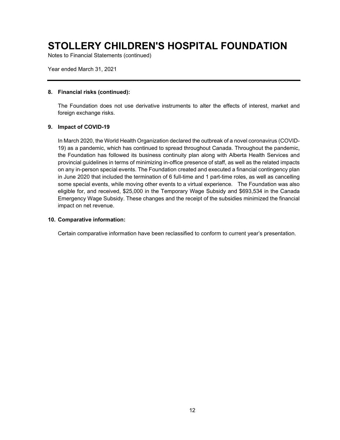Notes to Financial Statements (continued)

Year ended March 31, 2021

#### **8. Financial risks (continued):**

The Foundation does not use derivative instruments to alter the effects of interest, market and foreign exchange risks.

#### **9. Impact of COVID-19**

In March 2020, the World Health Organization declared the outbreak of a novel coronavirus (COVID-19) as a pandemic, which has continued to spread throughout Canada. Throughout the pandemic, the Foundation has followed its business continuity plan along with Alberta Health Services and provincial guidelines in terms of minimizing in-office presence of staff, as well as the related impacts on any in-person special events. The Foundation created and executed a financial contingency plan in June 2020 that included the termination of 6 full-time and 1 part-time roles, as well as cancelling some special events, while moving other events to a virtual experience. The Foundation was also eligible for, and received, \$25,000 in the Temporary Wage Subsidy and \$693,534 in the Canada Emergency Wage Subsidy. These changes and the receipt of the subsidies minimized the financial impact on net revenue.

#### **10. Comparative information:**

Certain comparative information have been reclassified to conform to current year's presentation.